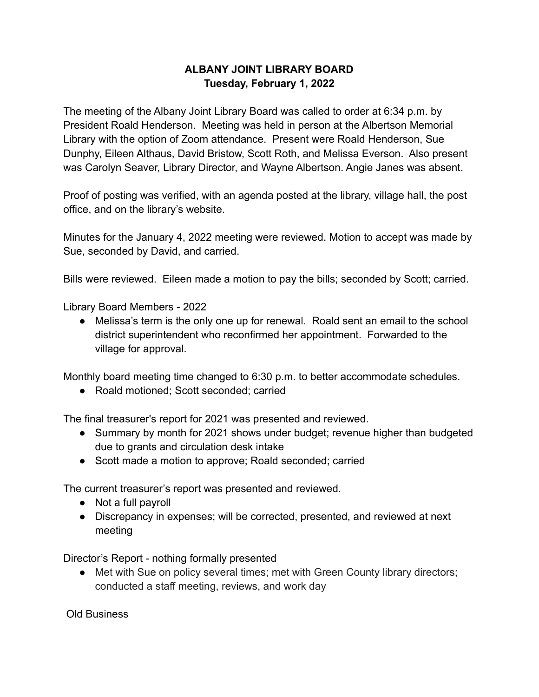## **ALBANY JOINT LIBRARY BOARD Tuesday, February 1, 2022**

The meeting of the Albany Joint Library Board was called to order at 6:34 p.m. by President Roald Henderson. Meeting was held in person at the Albertson Memorial Library with the option of Zoom attendance. Present were Roald Henderson, Sue Dunphy, Eileen Althaus, David Bristow, Scott Roth, and Melissa Everson. Also present was Carolyn Seaver, Library Director, and Wayne Albertson. Angie Janes was absent.

Proof of posting was verified, with an agenda posted at the library, village hall, the post office, and on the library's website.

Minutes for the January 4, 2022 meeting were reviewed. Motion to accept was made by Sue, seconded by David, and carried.

Bills were reviewed. Eileen made a motion to pay the bills; seconded by Scott; carried.

Library Board Members - 2022

● Melissa's term is the only one up for renewal. Roald sent an email to the school district superintendent who reconfirmed her appointment. Forwarded to the village for approval.

Monthly board meeting time changed to 6:30 p.m. to better accommodate schedules.

● Roald motioned; Scott seconded; carried

The final treasurer's report for 2021 was presented and reviewed.

- Summary by month for 2021 shows under budget; revenue higher than budgeted due to grants and circulation desk intake
- Scott made a motion to approve; Roald seconded; carried

The current treasurer's report was presented and reviewed.

- Not a full payroll
- Discrepancy in expenses; will be corrected, presented, and reviewed at next meeting

Director's Report - nothing formally presented

• Met with Sue on policy several times; met with Green County library directors; conducted a staff meeting, reviews, and work day

Old Business